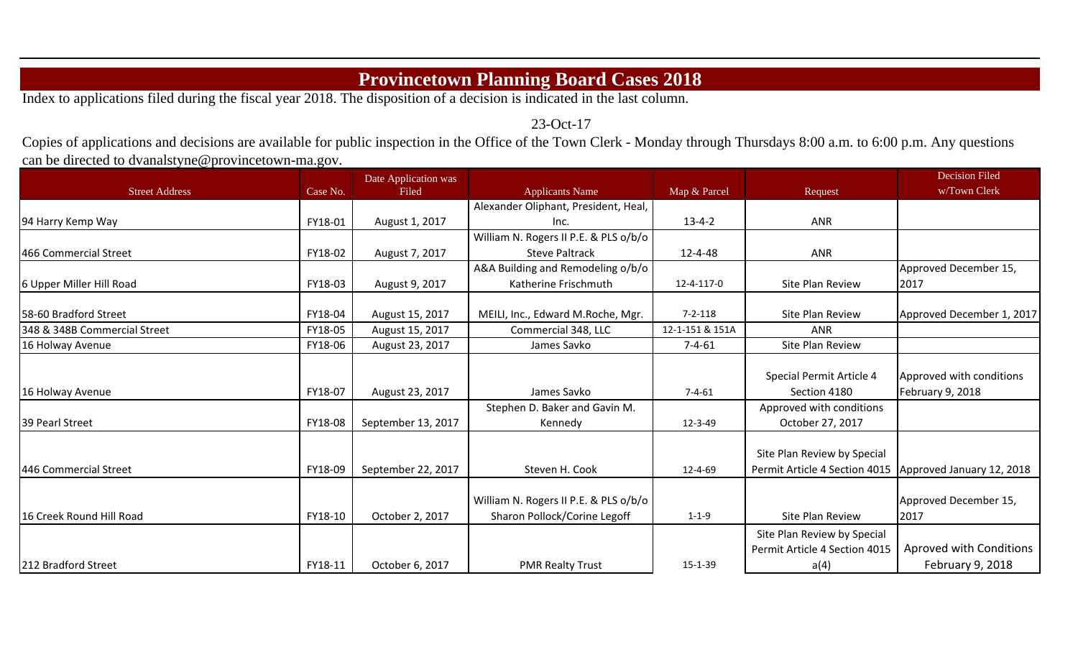## **Provincetown Planning Board Cases 2018**

Index to applications filed during the fiscal year 2018. The disposition of a decision is indicated in the last column.

23-Oct-17

Copies of applications and decisions are available for public inspection in the Office of the Town Clerk - Monday through Thursdays 8:00 a.m. to 6:00 p.m. Any questions can be directed to dvanalstyne@provincetown-ma.gov.

|                              |          | Date Application was |                                       |                 |                               | <b>Decision Filed</b>     |
|------------------------------|----------|----------------------|---------------------------------------|-----------------|-------------------------------|---------------------------|
| <b>Street Address</b>        | Case No. | Filed                | <b>Applicants Name</b>                | Map & Parcel    | Request                       | w/Town Clerk              |
|                              |          |                      | Alexander Oliphant, President, Heal,  |                 |                               |                           |
| 94 Harry Kemp Way            | FY18-01  | August 1, 2017       | Inc.                                  | $13 - 4 - 2$    | ANR                           |                           |
|                              |          |                      | William N. Rogers II P.E. & PLS o/b/o |                 |                               |                           |
| 466 Commercial Street        | FY18-02  | August 7, 2017       | <b>Steve Paltrack</b>                 | $12 - 4 - 48$   | ANR                           |                           |
|                              |          |                      | A&A Building and Remodeling o/b/o     |                 |                               | Approved December 15,     |
| 6 Upper Miller Hill Road     | FY18-03  | August 9, 2017       | Katherine Frischmuth                  | 12-4-117-0      | Site Plan Review              | 2017                      |
| 58-60 Bradford Street        | FY18-04  | August 15, 2017      | MEILI, Inc., Edward M.Roche, Mgr.     | $7 - 2 - 118$   | Site Plan Review              | Approved December 1, 2017 |
| 348 & 348B Commercial Street | FY18-05  | August 15, 2017      | Commercial 348, LLC                   | 12-1-151 & 151A | <b>ANR</b>                    |                           |
| 16 Holway Avenue             | FY18-06  | August 23, 2017      | James Savko                           | $7 - 4 - 61$    | Site Plan Review              |                           |
|                              |          |                      |                                       |                 |                               |                           |
|                              |          |                      |                                       |                 | Special Permit Article 4      | Approved with conditions  |
| 16 Holway Avenue             | FY18-07  | August 23, 2017      | James Savko                           | $7 - 4 - 61$    | Section 4180                  | February 9, 2018          |
|                              |          |                      | Stephen D. Baker and Gavin M.         |                 | Approved with conditions      |                           |
| 39 Pearl Street              | FY18-08  | September 13, 2017   | Kennedy                               | $12 - 3 - 49$   | October 27, 2017              |                           |
|                              |          |                      |                                       |                 | Site Plan Review by Special   |                           |
| 446 Commercial Street        | FY18-09  | September 22, 2017   | Steven H. Cook                        | $12 - 4 - 69$   | Permit Article 4 Section 4015 | Approved January 12, 2018 |
|                              |          |                      |                                       |                 |                               |                           |
|                              |          |                      | William N. Rogers II P.E. & PLS o/b/o |                 |                               | Approved December 15,     |
| 16 Creek Round Hill Road     | FY18-10  | October 2, 2017      | Sharon Pollock/Corine Legoff          | $1 - 1 - 9$     | Site Plan Review              | 2017                      |
|                              |          |                      |                                       |                 | Site Plan Review by Special   |                           |
|                              |          |                      |                                       |                 | Permit Article 4 Section 4015 | Aproved with Conditions   |
| 212 Bradford Street          | FY18-11  | October 6, 2017      | <b>PMR Realty Trust</b>               | $15 - 1 - 39$   | a(4)                          | February 9, 2018          |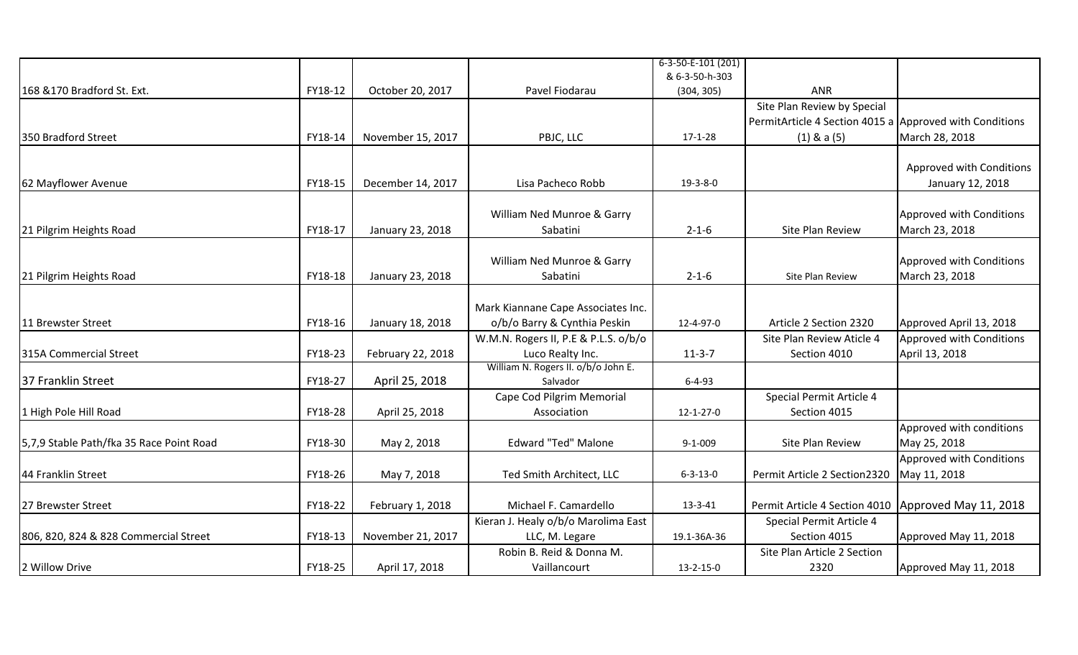|                                          |         |                   |                                      | 6-3-50-E-101 (201) |                                                         |                          |
|------------------------------------------|---------|-------------------|--------------------------------------|--------------------|---------------------------------------------------------|--------------------------|
|                                          |         |                   |                                      | & 6-3-50-h-303     |                                                         |                          |
| 168 & 170 Bradford St. Ext.              | FY18-12 | October 20, 2017  | Pavel Fiodarau                       | (304, 305)         | <b>ANR</b>                                              |                          |
|                                          |         |                   |                                      |                    | Site Plan Review by Special                             |                          |
|                                          |         |                   |                                      |                    | PermitArticle 4 Section 4015 a Approved with Conditions |                          |
| 350 Bradford Street                      | FY18-14 | November 15, 2017 | PBJC, LLC                            | $17 - 1 - 28$      | $(1)$ & a $(5)$                                         | March 28, 2018           |
|                                          |         |                   |                                      |                    |                                                         |                          |
|                                          |         |                   |                                      |                    |                                                         | Approved with Conditions |
| 62 Mayflower Avenue                      | FY18-15 | December 14, 2017 | Lisa Pacheco Robb                    | $19 - 3 - 8 - 0$   |                                                         | January 12, 2018         |
|                                          |         |                   |                                      |                    |                                                         |                          |
|                                          |         |                   | William Ned Munroe & Garry           |                    |                                                         | Approved with Conditions |
| 21 Pilgrim Heights Road                  | FY18-17 | January 23, 2018  | Sabatini                             | $2 - 1 - 6$        | Site Plan Review                                        | March 23, 2018           |
|                                          |         |                   |                                      |                    |                                                         |                          |
|                                          |         |                   | William Ned Munroe & Garry           |                    |                                                         | Approved with Conditions |
| 21 Pilgrim Heights Road                  | FY18-18 | January 23, 2018  | Sabatini                             | $2 - 1 - 6$        | Site Plan Review                                        | March 23, 2018           |
|                                          |         |                   |                                      |                    |                                                         |                          |
|                                          |         |                   | Mark Kiannane Cape Associates Inc.   |                    |                                                         |                          |
| 11 Brewster Street                       | FY18-16 | January 18, 2018  | o/b/o Barry & Cynthia Peskin         | 12-4-97-0          | Article 2 Section 2320                                  | Approved April 13, 2018  |
|                                          |         |                   | W.M.N. Rogers II, P.E & P.L.S. o/b/o |                    | Site Plan Review Aticle 4                               | Approved with Conditions |
| 315A Commercial Street                   | FY18-23 | February 22, 2018 | Luco Realty Inc.                     | $11-3-7$           | Section 4010                                            | April 13, 2018           |
|                                          |         |                   | William N. Rogers II. o/b/o John E.  |                    |                                                         |                          |
| 37 Franklin Street                       | FY18-27 | April 25, 2018    | Salvador                             | $6 - 4 - 93$       |                                                         |                          |
|                                          |         |                   | Cape Cod Pilgrim Memorial            |                    | Special Permit Article 4                                |                          |
| 1 High Pole Hill Road                    | FY18-28 | April 25, 2018    | Association                          | $12 - 1 - 27 - 0$  | Section 4015                                            |                          |
|                                          |         |                   |                                      |                    |                                                         | Approved with conditions |
| 5,7,9 Stable Path/fka 35 Race Point Road | FY18-30 | May 2, 2018       | <b>Edward "Ted" Malone</b>           | $9 - 1 - 009$      | Site Plan Review                                        | May 25, 2018             |
|                                          |         |                   |                                      |                    |                                                         | Approved with Conditions |
| 44 Franklin Street                       | FY18-26 | May 7, 2018       | Ted Smith Architect, LLC             | $6 - 3 - 13 - 0$   | Permit Article 2 Section2320                            | May 11, 2018             |
|                                          |         |                   |                                      |                    |                                                         |                          |
| 27 Brewster Street                       | FY18-22 | February 1, 2018  | Michael F. Camardello                | 13-3-41            | Permit Article 4 Section 4010   Approved May 11, 2018   |                          |
|                                          |         |                   | Kieran J. Healy o/b/o Marolima East  |                    | Special Permit Article 4                                |                          |
| 806, 820, 824 & 828 Commercial Street    | FY18-13 | November 21, 2017 | LLC, M. Legare                       | 19.1-36A-36        | Section 4015                                            | Approved May 11, 2018    |
|                                          |         |                   | Robin B. Reid & Donna M.             |                    | Site Plan Article 2 Section                             |                          |
| 2 Willow Drive                           | FY18-25 | April 17, 2018    | Vaillancourt                         | $13 - 2 - 15 - 0$  | 2320                                                    | Approved May 11, 2018    |